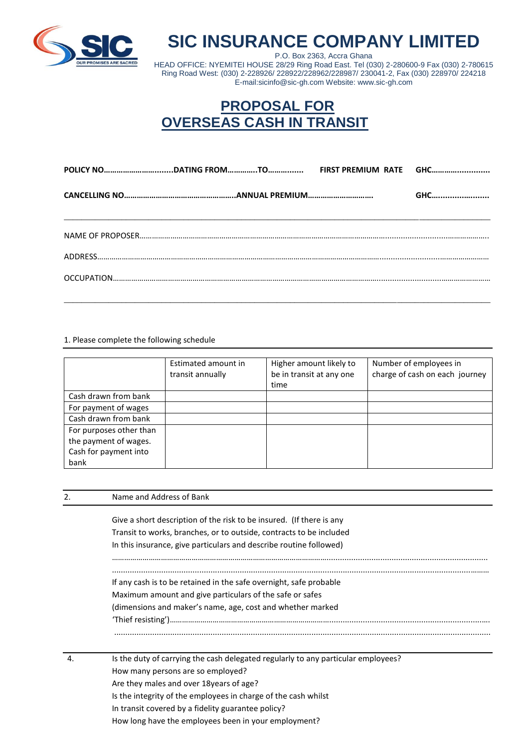

## **SIC INSURANCE COMPANY LIMITED**

P.O. Box 2363, Accra Ghana HEAD OFFICE: NYEMITEI HOUSE 28/29 Ring Road East. Tel (030) 2-280600-9 Fax (030) 2-780615 Ring Road West: (030) 2-228926/ 228922/228962/228987/ 230041-2, Fax (030) 228970/ 224218 E-mail:sicinfo@sic-gh.com Website: www.sic-gh.com

## **PROPOSAL FOR OVERSEAS CASH IN TRANSIT**

|  | GHC |
|--|-----|
|  |     |
|  |     |
|  |     |

\_\_\_\_\_\_\_\_\_\_\_\_\_\_\_\_\_\_\_\_\_\_\_\_\_\_\_\_\_\_\_\_\_\_\_\_\_\_\_\_\_\_\_\_\_\_\_\_\_\_\_\_\_\_\_\_\_\_\_\_\_\_\_\_\_\_\_\_\_\_\_\_\_\_\_\_\_\_\_\_\_\_\_\_\_\_\_\_\_\_\_\_\_\_\_\_

1. Please complete the following schedule

|                         | Estimated amount in<br>transit annually | Higher amount likely to<br>be in transit at any one<br>time | Number of employees in<br>charge of cash on each journey |
|-------------------------|-----------------------------------------|-------------------------------------------------------------|----------------------------------------------------------|
| Cash drawn from bank    |                                         |                                                             |                                                          |
| For payment of wages    |                                         |                                                             |                                                          |
| Cash drawn from bank    |                                         |                                                             |                                                          |
| For purposes other than |                                         |                                                             |                                                          |
| the payment of wages.   |                                         |                                                             |                                                          |
| Cash for payment into   |                                         |                                                             |                                                          |
| bank                    |                                         |                                                             |                                                          |

| 2. | Name and Address of Bank                                                          |
|----|-----------------------------------------------------------------------------------|
|    | Give a short description of the risk to be insured. (If there is any              |
|    |                                                                                   |
|    | Transit to works, branches, or to outside, contracts to be included               |
|    | In this insurance, give particulars and describe routine followed)                |
|    |                                                                                   |
|    | If any cash is to be retained in the safe overnight, safe probable                |
|    | Maximum amount and give particulars of the safe or safes                          |
|    | (dimensions and maker's name, age, cost and whether marked                        |
|    |                                                                                   |
|    |                                                                                   |
|    |                                                                                   |
| 4. | Is the duty of carrying the cash delegated regularly to any particular employees? |
|    | How many persons are so employed?                                                 |
|    | Are they males and over 18 years of age?                                          |
|    | Is the integrity of the employees in charge of the cash whilst                    |
|    | In transit covered by a fidelity guarantee policy?                                |
|    |                                                                                   |

How long have the employees been in your employment?